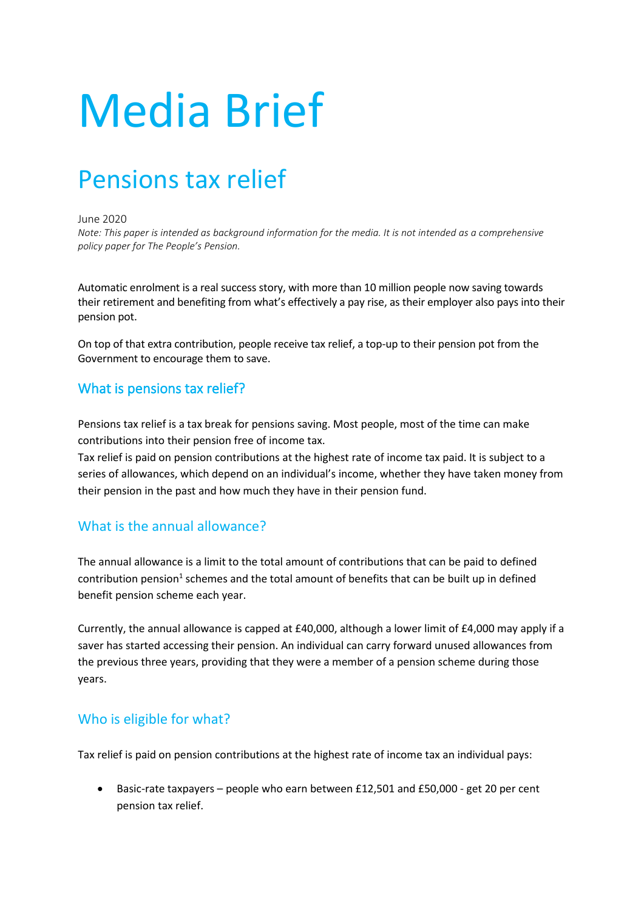# Media Brief

# Pensions tax relief

#### June 2020

*Note: This paper is intended as background information for the media. It is not intended as a comprehensive policy paper for The People's Pension.*

Automatic enrolment is a real success story, with more than 10 million people now saving towards their retirement and benefiting from what's effectively a pay rise, as their employer also pays into their pension pot.

On top of that extra contribution, people receive tax relief, a top-up to their pension pot from the Government to encourage them to save.

# What is pensions tax relief?

Pensions tax relief is a tax break for pensions saving. Most people, most of the time can make contributions into their pension free of income tax.

Tax relief is paid on pension contributions at the highest rate of income tax paid. It is subject to a series of allowances, which depend on an individual's income, whether they have taken money from their pension in the past and how much they have in their pension fund.

# What is the annual allowance?

The annual allowance is a limit to the total amount of contributions that can be paid to defined contribution pension<sup>1</sup> schemes and the total amount of benefits that can be built up in defined benefit pension scheme each year.

Currently, the annual allowance is capped at £40,000, although a lower limit of £4,000 may apply if a saver has started accessing their pension. An individual can carry forward unused allowances from the previous three years, providing that they were a member of a pension scheme during those years.

# Who is eligible for what?

Tax relief is paid on pension contributions at the highest rate of income tax an individual pays:

• Basic-rate taxpayers – people who earn between £12,501 and £50,000 - get 20 per cent pension tax relief.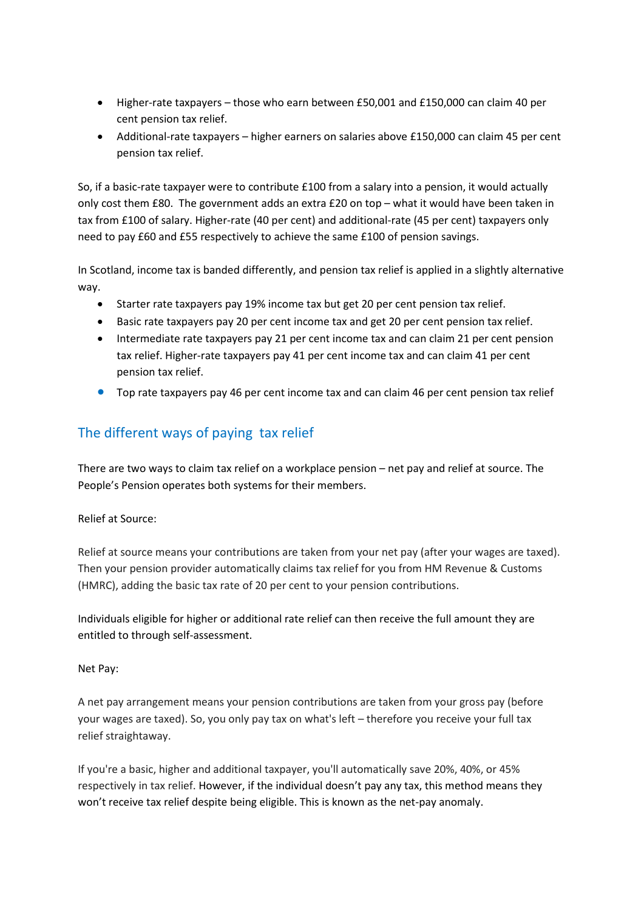- Higher-rate taxpayers those who earn between £50,001 and £150,000 can claim 40 per cent pension tax relief.
- Additional-rate taxpayers higher earners on salaries above £150,000 can claim 45 per cent pension tax relief.

So, if a basic-rate taxpayer were to contribute £100 from a salary into a pension, it would actually only cost them £80. The government adds an extra £20 on top – what it would have been taken in tax from £100 of salary. Higher-rate (40 per cent) and additional-rate (45 per cent) taxpayers only need to pay £60 and £55 respectively to achieve the same £100 of pension savings.

In Scotland, income tax is banded differently, and pension tax relief is applied in a slightly alternative way.

- Starter rate taxpayers pay 19% income tax but get 20 per cent pension tax relief.
- Basic rate taxpayers pay 20 per cent income tax and get 20 per cent pension tax relief.
- Intermediate rate taxpayers pay 21 per cent income tax and can claim 21 per cent pension tax relief. Higher-rate taxpayers pay 41 per cent income tax and can claim 41 per cent pension tax relief.
- Top rate taxpayers pay 46 per cent income tax and can claim 46 per cent pension tax relief

# The different ways of paying tax relief

There are two ways to claim tax relief on a workplace pension – net pay and relief at source. The People's Pension operates both systems for their members.

#### Relief at Source:

Relief at source means your contributions are taken from your net pay (after your wages are taxed). Then your pension provider automatically claims tax relief for you from HM Revenue & Customs (HMRC), adding the basic tax rate of 20 per cent to your pension contributions.

Individuals eligible for higher or additional rate relief can then receive the full amount they are entitled to through self-assessment.

#### Net Pay:

A net pay arrangement means your pension contributions are taken from your gross pay (before your wages are taxed). So, you only pay tax on what's left – therefore you receive your full tax relief straightaway.

If you're a basic, higher and additional taxpayer, you'll automatically save 20%, 40%, or 45% respectively in tax relief. However, if the individual doesn't pay any tax, this method means they won't receive tax relief despite being eligible. This is known as the net-pay anomaly.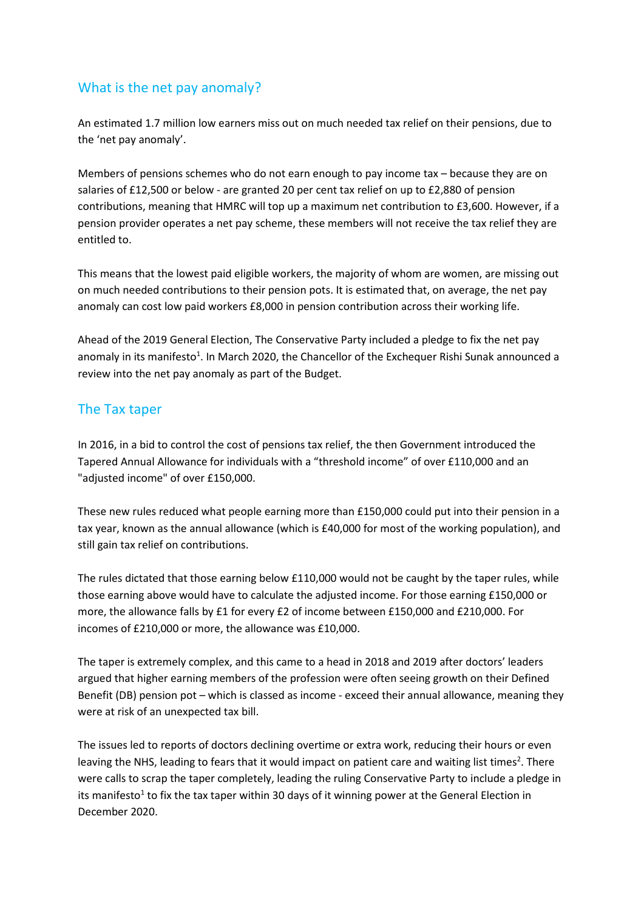# What is the net pay anomaly?

An estimated 1.7 million low earners miss out on much needed tax relief on their pensions, due to the 'net pay anomaly'.

Members of pensions schemes who do not earn enough to pay income tax – because they are on salaries of £12,500 or below - are granted 20 per cent tax relief on up to £2,880 of pension contributions, meaning that HMRC will top up a maximum net contribution to £3,600. However, if a pension provider operates a net pay scheme, these members will not receive the tax relief they are entitled to.

This means that the lowest paid eligible workers, the majority of whom are women, are missing out on much needed contributions to their pension pots. It is estimated that, on average, the net pay anomaly can cost low paid workers £8,000 in pension contribution across their working life.

Ahead of the 2019 General Election, The Conservative Party included a pledge to fix the net pay anomaly in its manifesto<sup>1</sup>. In March 2020, the Chancellor of the Exchequer Rishi Sunak announced a review into the net pay anomaly as part of the Budget.

# The Tax taper

In 2016, in a bid to control the cost of pensions tax relief, the then Government introduced the Tapered Annual Allowance for individuals with a "threshold income" of over £110,000 and an "adjusted income" of over £150,000.

These new rules reduced what people earning more than £150,000 could put into their pension in a tax year, known as the annual allowance (which is £40,000 for most of the working population), and still gain tax relief on contributions.

The rules dictated that those earning below £110,000 would not be caught by the taper rules, while those earning above would have to calculate the adjusted income. For those earning £150,000 or more, the allowance falls by £1 for every £2 of income between £150,000 and £210,000. For incomes of £210,000 or more, the allowance was £10,000.

The taper is extremely complex, and this came to a head in 2018 and 2019 after doctors' leaders argued that higher earning members of the profession were often seeing growth on their Defined Benefit (DB) pension pot – which is classed as income - exceed their annual allowance, meaning they were at risk of an unexpected tax bill.

The issues led to reports of doctors declining overtime or extra work, reducing their hours or even leaving the NHS, leading to fears that it would impact on patient care and waiting list times<sup>2</sup>. There were calls to scrap the taper completely, leading the ruling Conservative Party to include a pledge in its manifesto<sup>1</sup> to fix the tax taper within 30 days of it winning power at the General Election in December 2020.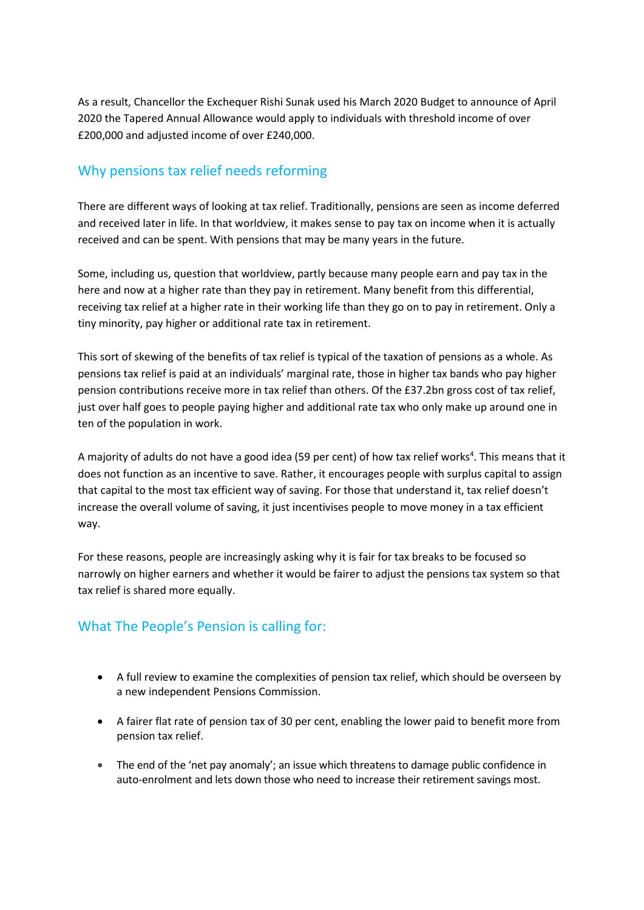As a result, Chancellor the Exchequer Rishi Sunak used his March 2020 Budget to announce of April 2020 the Tapered Annual Allowance would apply to individuals with threshold income of over £200,000 and adjusted income of over £240,000.

# Why pensions tax relief needs reforming

There are different ways of looking at tax relief. Traditionally, pensions are seen as income deferred and received later in life. In that worldview, it makes sense to pay tax on income when it is actually received and can be spent. With pensions that may be many years in the future.

Some, including us, question that worldview, partly because many people earn and pay tax in the here and now at a higher rate than they pay in retirement. Many benefit from this differential, receiving tax relief at a higher rate in their working life than they go on to pay in retirement. Only a tiny minority, pay higher or additional rate tax in retirement.

This sort of skewing of the benefits of tax relief is typical of the taxation of pensions as a whole. As pensions tax relief is paid at an individuals' marginal rate, those in higher tax bands who pay higher pension contributions receive more in tax relief than others. Of the £37.2bn gross cost of tax relief, just over half goes to people paying higher and additional rate tax who only make up around one in ten of the population in work.

A majority of adults do not have a good idea (59 per cent) of how tax relief works<sup>4</sup>. This means that it does not function as an incentive to save. Rather, it encourages people with surplus capital to assign that capital to the most tax efficient way of saving. For those that understand it, tax relief doesn't increase the overall volume of saving, it just incentivises people to move money in a tax efficient way.

For these reasons, people are increasingly asking why it is fair for tax breaks to be focused so narrowly on higher earners and whether it would be fairer to adjust the pensions tax system so that tax relief is shared more equally.

# What The People's Pension is calling for:

- A full review to examine the complexities of pension tax relief, which should be overseen by a new independent Pensions Commission.
- A fairer flat rate of pension tax of 30 per cent, enabling the lower paid to benefit more from pension tax relief.
- The end of the 'net pay anomaly'; an issue which threatens to damage public confidence in auto-enrolment and lets down those who need to increase their retirement savings most.